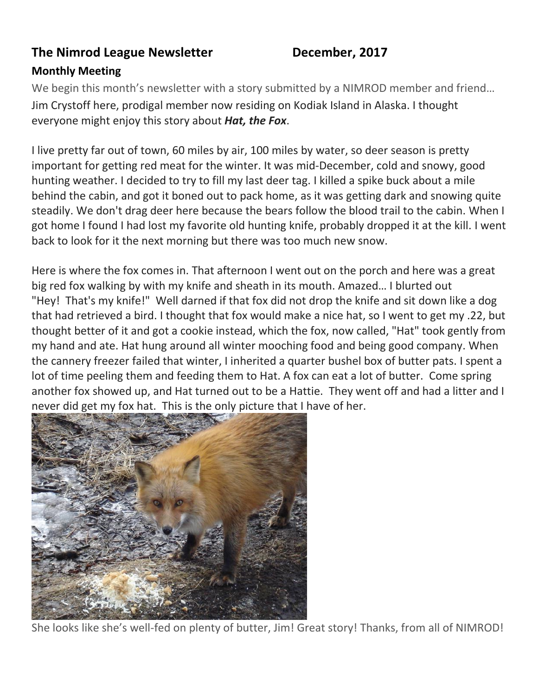#### **The Nimrod League Newsletter December, 2017**

#### **Monthly Meeting**

We begin this month's newsletter with a story submitted by a NIMROD member and friend… Jim Crystoff here, prodigal member now residing on Kodiak Island in Alaska. I thought everyone might enjoy this story about *Hat, the Fox*.

I live pretty far out of town, 60 miles by air, 100 miles by water, so deer season is pretty important for getting red meat for the winter. It was mid-December, cold and snowy, good hunting weather. I decided to try to fill my last deer tag. I killed a spike buck about a mile behind the cabin, and got it boned out to pack home, as it was getting dark and snowing quite steadily. We don't drag deer here because the bears follow the blood trail to the cabin. When I got home I found I had lost my favorite old hunting knife, probably dropped it at the kill. I went back to look for it the next morning but there was too much new snow.

Here is where the fox comes in. That afternoon I went out on the porch and here was a great big red fox walking by with my knife and sheath in its mouth. Amazed… I blurted out "Hey! That's my knife!" Well darned if that fox did not drop the knife and sit down like a dog that had retrieved a bird. I thought that fox would make a nice hat, so I went to get my .22, but thought better of it and got a cookie instead, which the fox, now called, "Hat" took gently from my hand and ate. Hat hung around all winter mooching food and being good company. When the cannery freezer failed that winter, I inherited a quarter bushel box of butter pats. I spent a lot of time peeling them and feeding them to Hat. A fox can eat a lot of butter. Come spring another fox showed up, and Hat turned out to be a Hattie. They went off and had a litter and I never did get my fox hat. This is the only picture that I have of her.



She looks like she's well-fed on plenty of butter, Jim! Great story! Thanks, from all of NIMROD!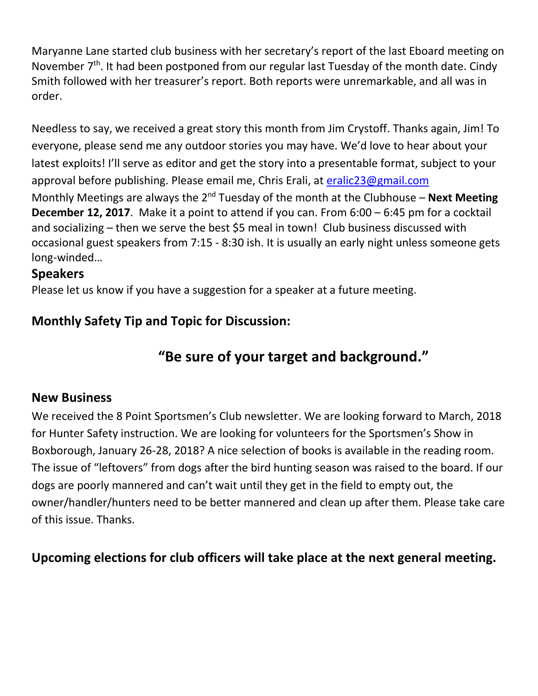Maryanne Lane started club business with her secretary's report of the last Eboard meeting on November 7<sup>th</sup>. It had been postponed from our regular last Tuesday of the month date. Cindy Smith followed with her treasurer's report. Both reports were unremarkable, and all was in order.

Needless to say, we received a great story this month from Jim Crystoff. Thanks again, Jim! To everyone, please send me any outdoor stories you may have. We'd love to hear about your latest exploits! I'll serve as editor and get the story into a presentable format, subject to your approval before publishing. Please email me, Chris Erali, at [eralic23@gmail.com](mailto:eralic23@gmail.com) Monthly Meetings are always the 2<sup>nd</sup> Tuesday of the month at the Clubhouse – **Next Meeting December 12, 2017**. Make it a point to attend if you can. From 6:00 – 6:45 pm for a cocktail and socializing – then we serve the best \$5 meal in town! Club business discussed with occasional guest speakers from 7:15 - 8:30 ish. It is usually an early night unless someone gets long-winded…

#### **Speakers**

Please let us know if you have a suggestion for a speaker at a future meeting.

# **Monthly Safety Tip and Topic for Discussion:**

# **"Be sure of your target and background."**

#### **New Business**

We received the 8 Point Sportsmen's Club newsletter. We are looking forward to March, 2018 for Hunter Safety instruction. We are looking for volunteers for the Sportsmen's Show in Boxborough, January 26-28, 2018? A nice selection of books is available in the reading room. The issue of "leftovers" from dogs after the bird hunting season was raised to the board. If our dogs are poorly mannered and can't wait until they get in the field to empty out, the owner/handler/hunters need to be better mannered and clean up after them. Please take care of this issue. Thanks.

**Upcoming elections for club officers will take place at the next general meeting.**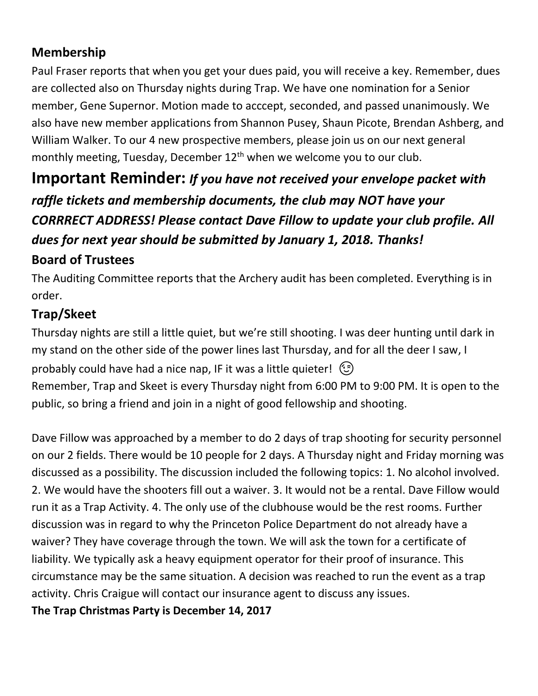# **Membership**

Paul Fraser reports that when you get your dues paid, you will receive a key. Remember, dues are collected also on Thursday nights during Trap. We have one nomination for a Senior member, Gene Supernor. Motion made to acccept, seconded, and passed unanimously. We also have new member applications from Shannon Pusey, Shaun Picote, Brendan Ashberg, and William Walker. To our 4 new prospective members, please join us on our next general monthly meeting, Tuesday, December 12<sup>th</sup> when we welcome you to our club.

# **Important Reminder:** *If you have not received your envelope packet with raffle tickets and membership documents, the club may NOT have your CORRRECT ADDRESS! Please contact Dave Fillow to update your club profile. All dues for next year should be submitted by January 1, 2018. Thanks!*

# **Board of Trustees**

The Auditing Committee reports that the Archery audit has been completed. Everything is in order.

# **Trap/Skeet**

Thursday nights are still a little quiet, but we're still shooting. I was deer hunting until dark in my stand on the other side of the power lines last Thursday, and for all the deer I saw, I probably could have had a nice nap, IF it was a little quieter!  $\circled{c}$ Remember, Trap and Skeet is every Thursday night from 6:00 PM to 9:00 PM. It is open to the public, so bring a friend and join in a night of good fellowship and shooting.

Dave Fillow was approached by a member to do 2 days of trap shooting for security personnel on our 2 fields. There would be 10 people for 2 days. A Thursday night and Friday morning was discussed as a possibility. The discussion included the following topics: 1. No alcohol involved. 2. We would have the shooters fill out a waiver. 3. It would not be a rental. Dave Fillow would run it as a Trap Activity. 4. The only use of the clubhouse would be the rest rooms. Further discussion was in regard to why the Princeton Police Department do not already have a waiver? They have coverage through the town. We will ask the town for a certificate of liability. We typically ask a heavy equipment operator for their proof of insurance. This circumstance may be the same situation. A decision was reached to run the event as a trap activity. Chris Craigue will contact our insurance agent to discuss any issues.

**The Trap Christmas Party is December 14, 2017**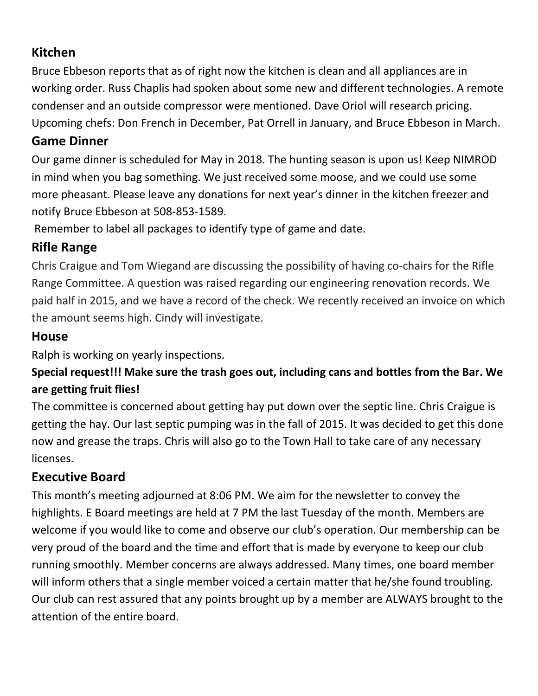# **Kitchen**

Bruce Ebbeson reports that as of right now the kitchen is clean and all appliances are in working order. Russ Chaplis had spoken about some new and different technologies. A remote condenser and an outside compressor were mentioned. Dave Oriol will research pricing. Upcoming chefs: Don French in December, Pat Orrell in January, and Bruce Ebbeson in March.

# **Game Dinner**

Our game dinner is scheduled for May in 2018. The hunting season is upon us! Keep NIMROD in mind when you bag something. We just received some moose, and we could use some more pheasant. Please leave any donations for next year's dinner in the kitchen freezer and notify Bruce Ebbeson at 508-853-1589.

Remember to label all packages to identify type of game and date.

# **Rifle Range**

Chris Craigue and Tom Wiegand are discussing the possibility of having co-chairs for the Rifle Range Committee. A question was raised regarding our engineering renovation records. We paid half in 2015, and we have a record of the check. We recently received an invoice on which the amount seems high. Cindy will investigate.

# **House**

Ralph is working on yearly inspections.

# **Special request!!! Make sure the trash goes out, including cans and bottles from the Bar. We are getting fruit flies!**

The committee is concerned about getting hay put down over the septic line. Chris Craigue is getting the hay. Our last septic pumping was in the fall of 2015. It was decided to get this done now and grease the traps. Chris will also go to the Town Hall to take care of any necessary licenses.

# **Executive Board**

This month's meeting adjourned at 8:06 PM. We aim for the newsletter to convey the highlights. E Board meetings are held at 7 PM the last Tuesday of the month. Members are welcome if you would like to come and observe our club's operation. Our membership can be very proud of the board and the time and effort that is made by everyone to keep our club running smoothly. Member concerns are always addressed. Many times, one board member will inform others that a single member voiced a certain matter that he/she found troubling. Our club can rest assured that any points brought up by a member are ALWAYS brought to the attention of the entire board.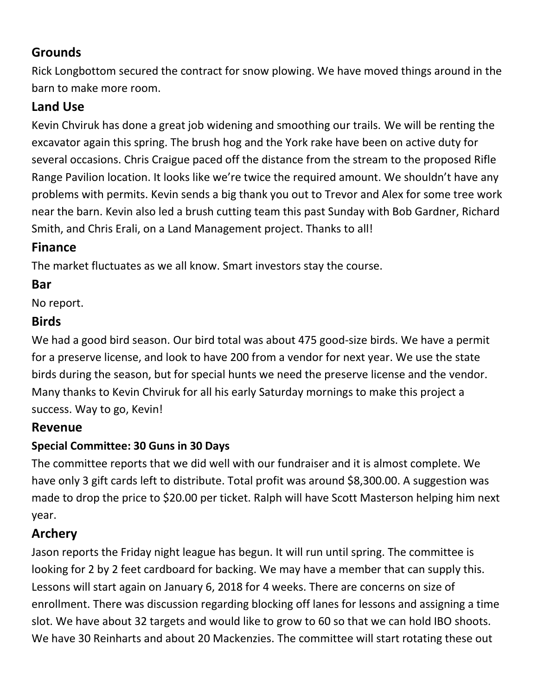# **Grounds**

Rick Longbottom secured the contract for snow plowing. We have moved things around in the barn to make more room.

# **Land Use**

Kevin Chviruk has done a great job widening and smoothing our trails. We will be renting the excavator again this spring. The brush hog and the York rake have been on active duty for several occasions. Chris Craigue paced off the distance from the stream to the proposed Rifle Range Pavilion location. It looks like we're twice the required amount. We shouldn't have any problems with permits. Kevin sends a big thank you out to Trevor and Alex for some tree work near the barn. Kevin also led a brush cutting team this past Sunday with Bob Gardner, Richard Smith, and Chris Erali, on a Land Management project. Thanks to all!

# **Finance**

The market fluctuates as we all know. Smart investors stay the course.

# **Bar**

No report.

# **Birds**

We had a good bird season. Our bird total was about 475 good-size birds. We have a permit for a preserve license, and look to have 200 from a vendor for next year. We use the state birds during the season, but for special hunts we need the preserve license and the vendor. Many thanks to Kevin Chviruk for all his early Saturday mornings to make this project a success. Way to go, Kevin!

#### **Revenue**

#### **Special Committee: 30 Guns in 30 Days**

The committee reports that we did well with our fundraiser and it is almost complete. We have only 3 gift cards left to distribute. Total profit was around \$8,300.00. A suggestion was made to drop the price to \$20.00 per ticket. Ralph will have Scott Masterson helping him next year.

# **Archery**

Jason reports the Friday night league has begun. It will run until spring. The committee is looking for 2 by 2 feet cardboard for backing. We may have a member that can supply this. Lessons will start again on January 6, 2018 for 4 weeks. There are concerns on size of enrollment. There was discussion regarding blocking off lanes for lessons and assigning a time slot. We have about 32 targets and would like to grow to 60 so that we can hold IBO shoots. We have 30 Reinharts and about 20 Mackenzies. The committee will start rotating these out